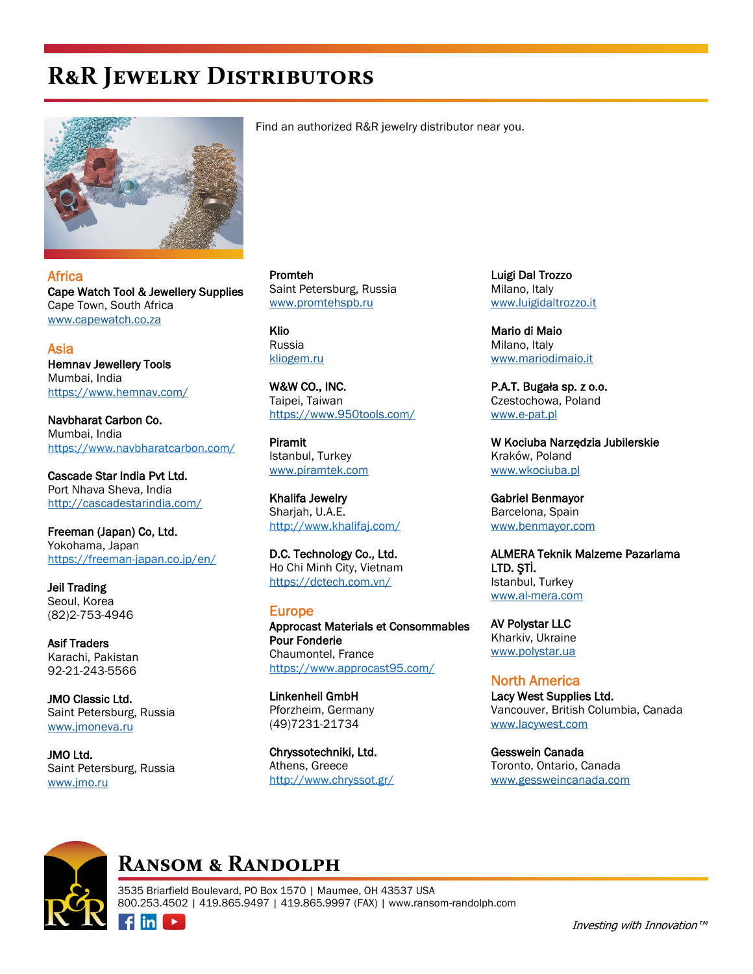# **R&R Jewelry Distributors**



**Africa** Cape Watch Tool & Jewellery Supplies Cape Town, South Africa [www.capewatch.co.za](http://www.capewatch.co.za)

Asia Hemnav Jewellery Tools Mumbai, India <https://www.hemnav.com/>

Navbharat Carbon Co. Mumbai, India https://www.navbharatcarbon.com/

Cascade Star India Pvt Ltd. Port Nhava Sheva, India <http://cascadestarindia.com/>

Freeman (Japan) Co, Ltd. Yokohama, Japan https://freeman-japan.co.jp/en/

Jeil Trading Seoul, Korea (82)2-753-4946

Asif Traders Karachi, Pakistan 92-21-243-5566

JMO Classic Ltd. Saint Petersburg, Russia [www.jmoneva.ru](http://www.jmoneva.ru)

JMO Ltd. Saint Petersburg, Russia [www.jmo.ru](http://www.jmo.ru)

 $\n **film**\n$ 

 $\blacktriangleright$ 

Find an authorized R&R jewelry distributor near you.

Promteh Saint Petersburg, Russia [www.promtehspb.ru](http://www.promtehspb.ru)

Klio Russia [kliogem.ru](https://kliogem.ru/)

W&W CO., INC. Taipei, Taiwan <https://www.950tools.com/>

Piramit Istanbul, Turkey [www.piramtek.com](http://www.piramtek.com)

Khalifa Jewelry Sharjah, U.A.E. http://www.khalifaj.com/

D.C. Technology Co., Ltd. Ho Chi Minh City, Vietnam <https://dctech.com.vn/>

#### Europe

Approcast Materials et Consommables Pour Fonderie Chaumontel, France https://www.approcast95.com/

Linkenheil GmbH Pforzheim, Germany (49)7231-21734

Chryssotechniki, Ltd. Athens, Greece http://www.chryssot.gr/

Luigi Dal Trozzo Milano, Italy [www.luigidaltrozzo.it](http://www.luigidaltrozzo.it)

Mario di Maio Milano, Italy [www.mariodimaio.it](http://www.mariodimaio.it)

P.A.T. Bugała sp. z o.o. Czestochowa, Poland [www.e-pat.pl](http://www.e-pat.pl)

W Kociuba Narzędzia Jubilerskie Kraków, Poland [www.wkociuba.pl](http://www.wkociuba.pl)

Gabriel Benmayor Barcelona, Spain [www.benmayor.com](http://www.benmayor.com)

ALMERA Teknik Malzeme Pazarlama LTD. ŞTİ. Istanbul, Turkey [www.al-mera.com](http://www.al-mera.com)

AV Polystar LLC Kharkiv, Ukraine [www.polystar.ua](http://www.polystar.ua)

North America Lacy West Supplies Ltd. Vancouver, British Columbia, Canada [www.lacywest.com](http://www.lacywest.com)

Gesswein Canada Toronto, Ontario, Canada [www.gessweincanada.com](http://www.gessweincanada.com)



### **Ransom & Randolph**

3535 Briarfield Boulevard, PO Box 1570 | Maumee, OH 43537 USA 800.253.4502 | 419.865.9497 | 419.865.9997 (FAX) | www.ransom-randolph.com

Investing with Innovation™